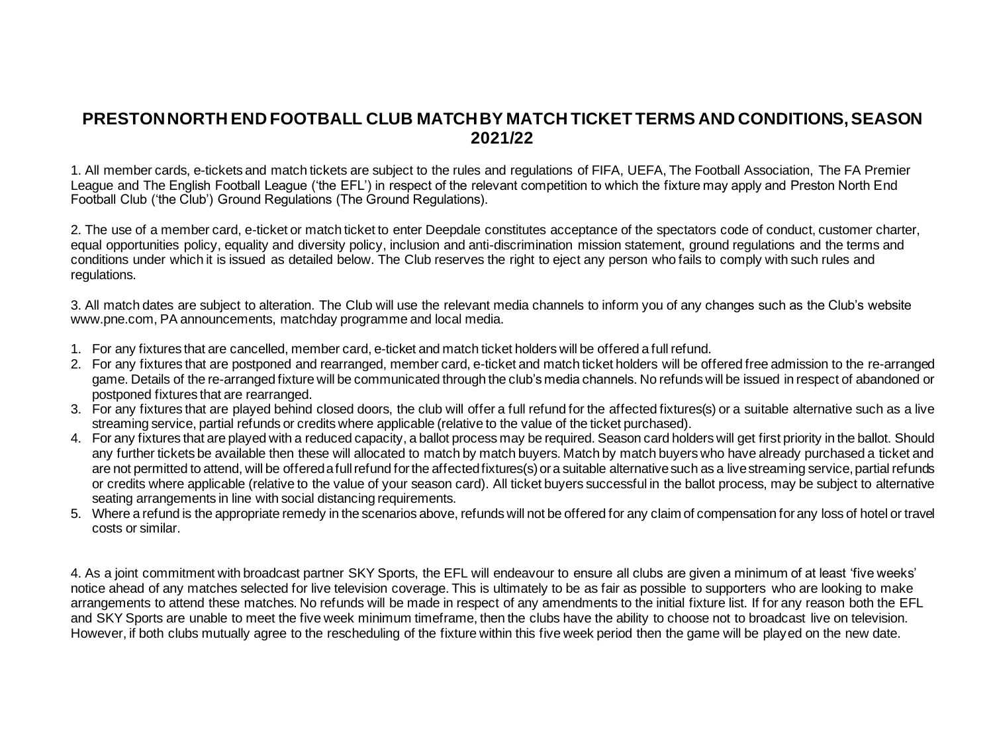## **PRESTON NORTH END FOOTBALL CLUB MATCH BY MATCH TICKET TERMS AND CONDITIONS, SEASON 2021/22**

1. All member cards, e-tickets and match tickets are subject to the rules and regulations of FIFA, UEFA, The Football Association, The FA Premier League and The English Football League ('the EFL') in respect of the relevant competition to which the fixture may apply and Preston North End Football Club ('the Club') Ground Regulations (The Ground Regulations).

2. The use of a member card, e-ticket or match ticket to enter Deepdale constitutes acceptance of the spectators code of conduct, customer charter, equal opportunities policy, equality and diversity policy, inclusion and anti-discrimination mission statement, ground regulations and the terms and conditions under which it is issued as detailed below. The Club reserves the right to eject any person who fails to comply with such rules and regulations.

3. All match dates are subject to alteration. The Club will use the relevant media channels to inform you of any changes such as the Club's website www.pne.com, PA announcements, matchday programme and local media.

- 1. For any fixtures that are cancelled, member card, e-ticket and match ticket holders will be offered a full refund.
- 2. For any fixtures that are postponed and rearranged, member card, e-ticket and match ticket holders will be offered free admission to the re-arranged game. Details of the re-arranged fixture will be communicated through the club's media channels. No refunds will be issued in respect of abandoned or postponed fixtures that are rearranged.
- 3. For any fixtures that are played behind closed doors, the club will offer a full refund for the affected fixtures(s) or a suitable alternative such as a live streaming service, partial refunds or credits where applicable (relative to the value of the ticket purchased).
- 4. For any fixtures that are played with a reduced capacity, a ballot process may be required. Season card holders will get first priority in the ballot. Should any further tickets be available then these will allocated to match by match buyers. Match by match buyers who have already purchased a ticket and are not permitted to attend, will be offered a full refund for the affected fixtures(s) or a suitable alternative such as a live streaming service, partial refunds or credits where applicable (relative to the value of your season card). All ticket buyers successful in the ballot process, may be subject to alternative seating arrangements in line with social distancing requirements.
- 5. Where a refund is the appropriate remedy in the scenarios above, refunds will not be offered for any claim of compensation for any loss of hotel or travel costs or similar.

4. As a joint commitment with broadcast partner SKY Sports, the EFL will endeavour to ensure all clubs are given a minimum of at least 'five weeks' notice ahead of any matches selected for live television coverage. This is ultimately to be as fair as possible to supporters who are looking to make arrangements to attend these matches. No refunds will be made in respect of any amendments to the initial fixture list. If for any reason both the EFL and SKY Sports are unable to meet the five week minimum timeframe, then the clubs have the ability to choose not to broadcast live on television. However, if both clubs mutually agree to the rescheduling of the fixture within this five week period then the game will be played on the new date.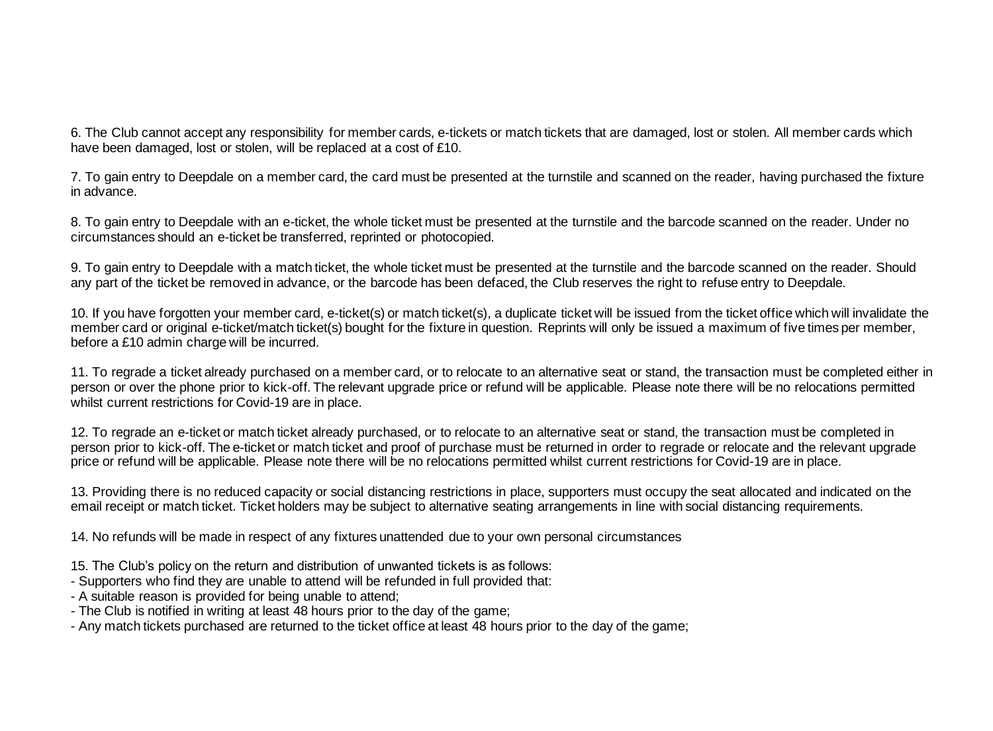6. The Club cannot accept any responsibility for member cards, e-tickets or match tickets that are damaged, lost or stolen. All member cards which have been damaged, lost or stolen, will be replaced at a cost of £10.

7. To gain entry to Deepdale on a member card, the card must be presented at the turnstile and scanned on the reader, having purchased the fixture in advance.

8. To gain entry to Deepdale with an e-ticket, the whole ticket must be presented at the turnstile and the barcode scanned on the reader. Under no circumstances should an e-ticket be transferred, reprinted or photocopied.

9. To gain entry to Deepdale with a match ticket, the whole ticket must be presented at the turnstile and the barcode scanned on the reader. Should any part of the ticket be removed in advance, or the barcode has been defaced, the Club reserves the right to refuse entry to Deepdale.

10. If you have forgotten your member card, e-ticket(s) or match ticket(s), a duplicate ticket will be issued from the ticket office which will invalidate the member card or original e-ticket/match ticket(s) bought for the fixture in question. Reprints will only be issued a maximum of five times per member, before a £10 admin charge will be incurred.

11. To regrade a ticket already purchased on a member card, or to relocate to an alternative seat or stand, the transaction must be completed either in person or over the phone prior to kick-off. The relevant upgrade price or refund will be applicable. Please note there will be no relocations permitted whilst current restrictions for Covid-19 are in place.

12. To regrade an e-ticket or match ticket already purchased, or to relocate to an alternative seat or stand, the transaction must be completed in person prior to kick-off. The e-ticket or match ticket and proof of purchase must be returned in order to regrade or relocate and the relevant upgrade price or refund will be applicable. Please note there will be no relocations permitted whilst current restrictions for Covid-19 are in place.

13. Providing there is no reduced capacity or social distancing restrictions in place, supporters must occupy the seat allocated and indicated on the email receipt or match ticket. Ticket holders may be subject to alternative seating arrangements in line with social distancing requirements.

14. No refunds will be made in respect of any fixtures unattended due to your own personal circumstances

- 15. The Club's policy on the return and distribution of unwanted tickets is as follows:
- Supporters who find they are unable to attend will be refunded in full provided that:
- A suitable reason is provided for being unable to attend;
- The Club is notified in writing at least 48 hours prior to the day of the game;
- Any match tickets purchased are returned to the ticket office at least 48 hours prior to the day of the game;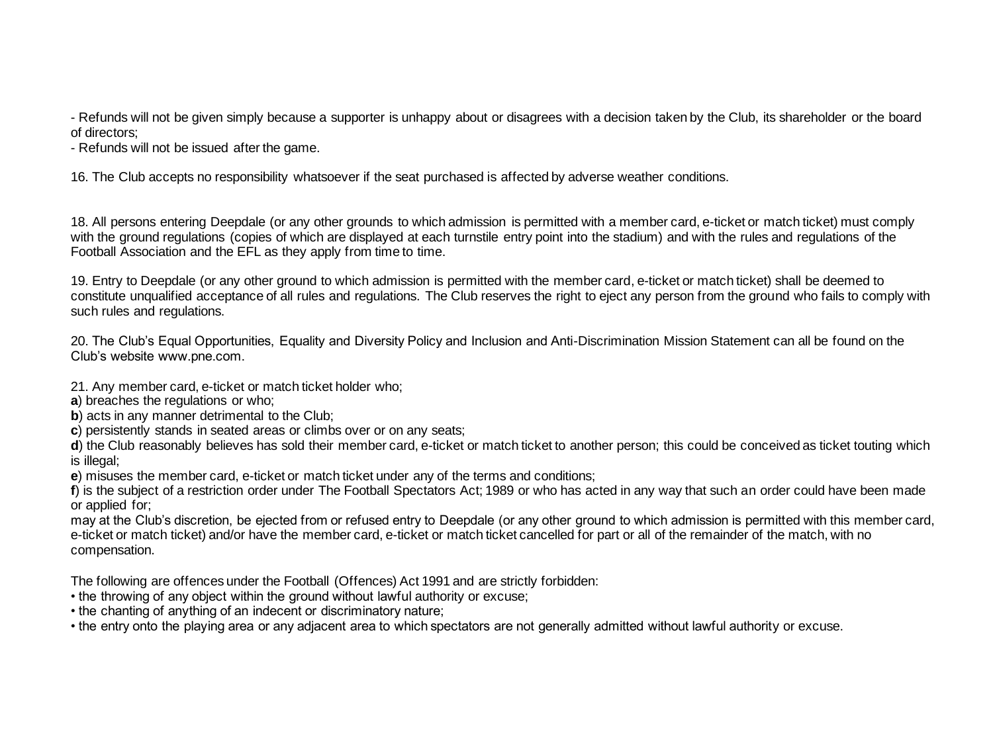- Refunds will not be given simply because a supporter is unhappy about or disagrees with a decision taken by the Club, its shareholder or the board of directors;

- Refunds will not be issued after the game.

16. The Club accepts no responsibility whatsoever if the seat purchased is affected by adverse weather conditions.

18. All persons entering Deepdale (or any other grounds to which admission is permitted with a member card, e-ticket or match ticket) must comply with the ground regulations (copies of which are displayed at each turnstile entry point into the stadium) and with the rules and regulations of the Football Association and the EFL as they apply from time to time.

19. Entry to Deepdale (or any other ground to which admission is permitted with the member card, e-ticket or match ticket) shall be deemed to constitute unqualified acceptance of all rules and regulations. The Club reserves the right to eject any person from the ground who fails to comply with such rules and regulations.

20. The Club's Equal Opportunities, Equality and Diversity Policy and Inclusion and Anti-Discrimination Mission Statement can all be found on the Club's website www.pne.com.

- 21. Any member card, e-ticket or match ticket holder who;
- **a**) breaches the regulations or who;
- **b**) acts in any manner detrimental to the Club:
- **c**) persistently stands in seated areas or climbs over or on any seats;

**d**) the Club reasonably believes has sold their member card, e-ticket or match ticket to another person; this could be conceived as ticket touting which is illegal;

**e**) misuses the member card, e-ticket or match ticket under any of the terms and conditions;

**f**) is the subject of a restriction order under The Football Spectators Act; 1989 or who has acted in any way that such an order could have been made or applied for;

may at the Club's discretion, be ejected from or refused entry to Deepdale (or any other ground to which admission is permitted with this member card, e-ticket or match ticket) and/or have the member card, e-ticket or match ticket cancelled for part or all of the remainder of the match, with no compensation.

The following are offences under the Football (Offences) Act 1991 and are strictly forbidden:

- the throwing of any object within the ground without lawful authority or excuse;
- the chanting of anything of an indecent or discriminatory nature;

• the entry onto the playing area or any adjacent area to which spectators are not generally admitted without lawful authority or excuse.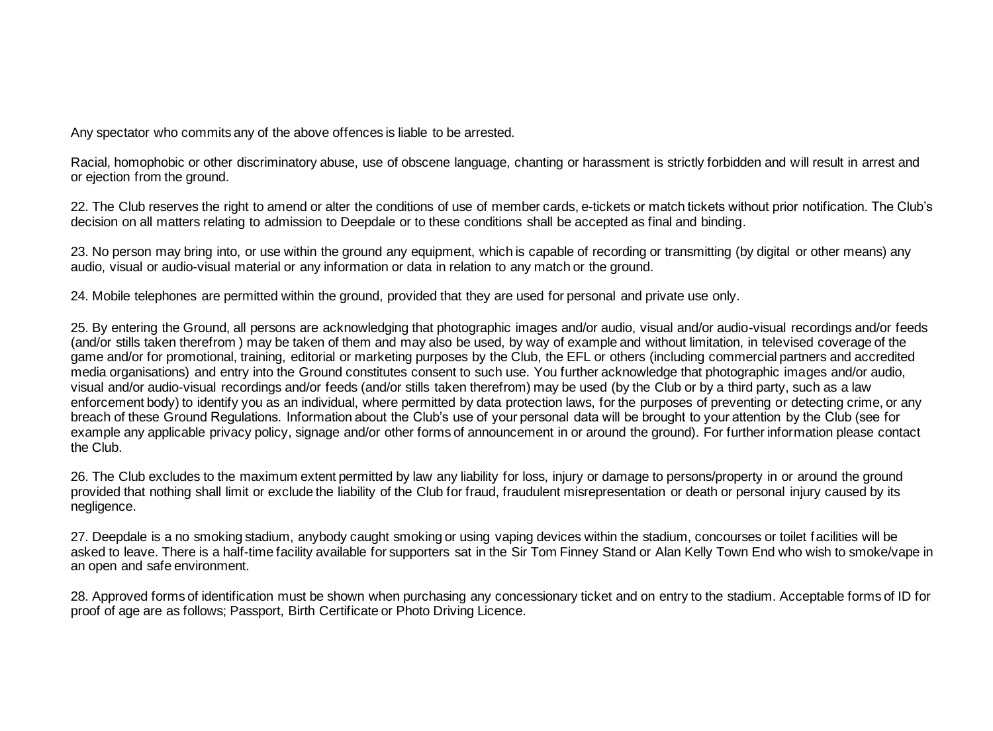Any spectator who commits any of the above offences is liable to be arrested.

Racial, homophobic or other discriminatory abuse, use of obscene language, chanting or harassment is strictly forbidden and will result in arrest and or ejection from the ground.

22. The Club reserves the right to amend or alter the conditions of use of member cards, e-tickets or match tickets without prior notification. The Club's decision on all matters relating to admission to Deepdale or to these conditions shall be accepted as final and binding.

23. No person may bring into, or use within the ground any equipment, which is capable of recording or transmitting (by digital or other means) any audio, visual or audio-visual material or any information or data in relation to any match or the ground.

24. Mobile telephones are permitted within the ground, provided that they are used for personal and private use only.

25. By entering the Ground, all persons are acknowledging that photographic images and/or audio, visual and/or audio-visual recordings and/or feeds (and/or stills taken therefrom ) may be taken of them and may also be used, by way of example and without limitation, in televised coverage of the game and/or for promotional, training, editorial or marketing purposes by the Club, the EFL or others (including commercial partners and accredited media organisations) and entry into the Ground constitutes consent to such use. You further acknowledge that photographic images and/or audio, visual and/or audio-visual recordings and/or feeds (and/or stills taken therefrom) may be used (by the Club or by a third party, such as a law enforcement body) to identify you as an individual, where permitted by data protection laws, for the purposes of preventing or detecting crime, or any breach of these Ground Regulations. Information about the Club's use of your personal data will be brought to your attention by the Club (see for example any applicable privacy policy, signage and/or other forms of announcement in or around the ground). For further information please contact the Club.

26. The Club excludes to the maximum extent permitted by law any liability for loss, injury or damage to persons/property in or around the ground provided that nothing shall limit or exclude the liability of the Club for fraud, fraudulent misrepresentation or death or personal injury caused by its negligence.

27. Deepdale is a no smoking stadium, anybody caught smoking or using vaping devices within the stadium, concourses or toilet facilities will be asked to leave. There is a half-time facility available for supporters sat in the Sir Tom Finney Stand or Alan Kelly Town End who wish to smoke/vape in an open and safe environment.

28. Approved forms of identification must be shown when purchasing any concessionary ticket and on entry to the stadium. Acceptable forms of ID for proof of age are as follows; Passport, Birth Certificate or Photo Driving Licence.